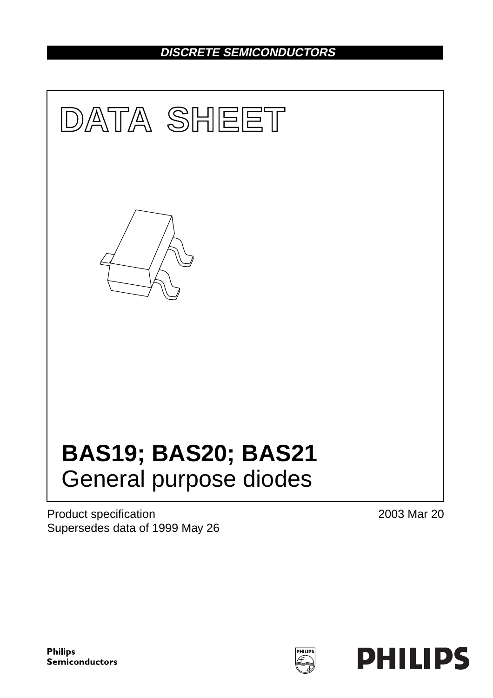## **DISCRETE SEMICONDUCTORS**



Product specification Supersedes data of 1999 May 26 2003 Mar 20

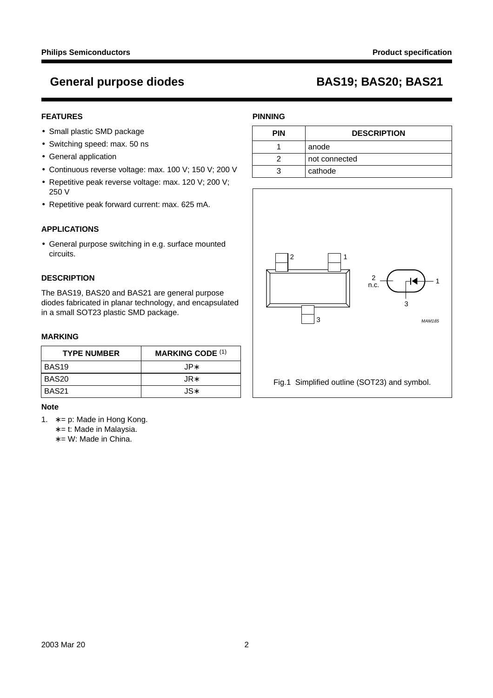### **FEATURES**

- Small plastic SMD package
- Switching speed: max. 50 ns
- General application
- Continuous reverse voltage: max. 100 V; 150 V; 200 V
- Repetitive peak reverse voltage: max. 120 V; 200 V; 250 V
- Repetitive peak forward current: max. 625 mA.

### **APPLICATIONS**

• General purpose switching in e.g. surface mounted circuits.

### **DESCRIPTION**

The BAS19, BAS20 and BAS21 are general purpose diodes fabricated in planar technology, and encapsulated in a small SOT23 plastic SMD package.

### **MARKING**

| <b>TYPE NUMBER</b> | <b>MARKING CODE (1)</b> |
|--------------------|-------------------------|
| BAS <sub>19</sub>  | .JP∗                    |
| BAS <sub>20</sub>  | .JR∗                    |
| BAS21              | JS*                     |

### **Note**

- 1. ∗ = p: Made in Hong Kong.
	- ∗ = t: Made in Malaysia.
	- ∗ = W: Made in China.

### **PINNING**

| <b>PIN</b> | <b>DESCRIPTION</b> |  |
|------------|--------------------|--|
|            | anode              |  |
|            | not connected      |  |
|            | cathode            |  |

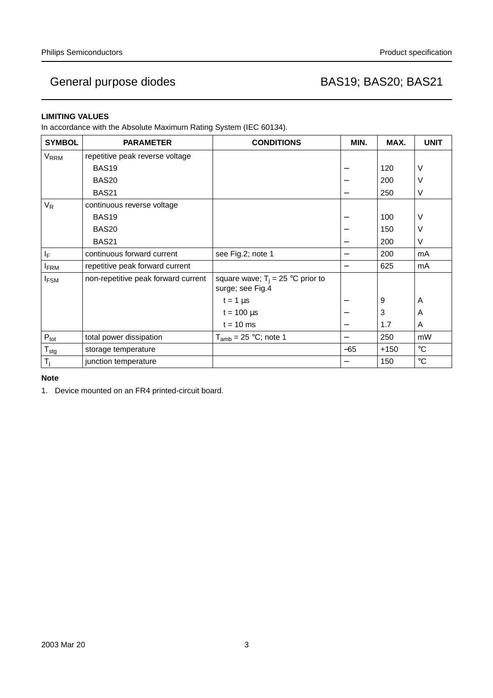### **LIMITING VALUES**

In accordance with the Absolute Maximum Rating System (IEC 60134).

| <b>SYMBOL</b>           | <b>PARAMETER</b>                    | <b>CONDITIONS</b>                                       | MIN.                     | MAX.       | <b>UNIT</b>       |
|-------------------------|-------------------------------------|---------------------------------------------------------|--------------------------|------------|-------------------|
| V <sub>RRM</sub>        | repetitive peak reverse voltage     |                                                         |                          |            |                   |
|                         | BAS <sub>19</sub>                   |                                                         |                          | 120        | $\vee$            |
|                         | BAS <sub>20</sub>                   |                                                         |                          | 200        | $\vee$            |
|                         | BAS21                               |                                                         | $\overline{\phantom{0}}$ | 250        | V                 |
| $V_R$                   | continuous reverse voltage          |                                                         |                          |            |                   |
|                         | BAS <sub>19</sub>                   |                                                         |                          | 100        | $\vee$            |
|                         | <b>BAS20</b>                        |                                                         |                          | 150        | $\vee$            |
|                         | BAS <sub>21</sub>                   |                                                         |                          | 200        | V                 |
| ΙF                      | continuous forward current          | see Fig.2; note 1                                       |                          | 200        | mA                |
| <b>FRM</b>              | repetitive peak forward current     |                                                         | $\overline{\phantom{0}}$ | 625        | mA                |
| <b>I</b> <sub>FSM</sub> | non-repetitive peak forward current | square wave; $T_i = 25$ °C prior to<br>surge; see Fig.4 |                          |            |                   |
|                         |                                     | $t = 1 \mu s$                                           |                          | 9          | A                 |
|                         |                                     | $t = 100 \mu s$                                         |                          | $\sqrt{3}$ | A                 |
|                         |                                     | $t = 10$ ms                                             |                          | 1.7        | A                 |
| $P_{\text{tot}}$        | total power dissipation             | $T_{amb}$ = 25 °C; note 1                               | —                        | 250        | mW                |
| $T_{\text{stg}}$        | storage temperature                 |                                                         | $-65$                    | $+150$     | $^{\circ}C$       |
| $T_i$                   | junction temperature                |                                                         |                          | 150        | $^\circ \text{C}$ |

**Note**

1. Device mounted on an FR4 printed-circuit board.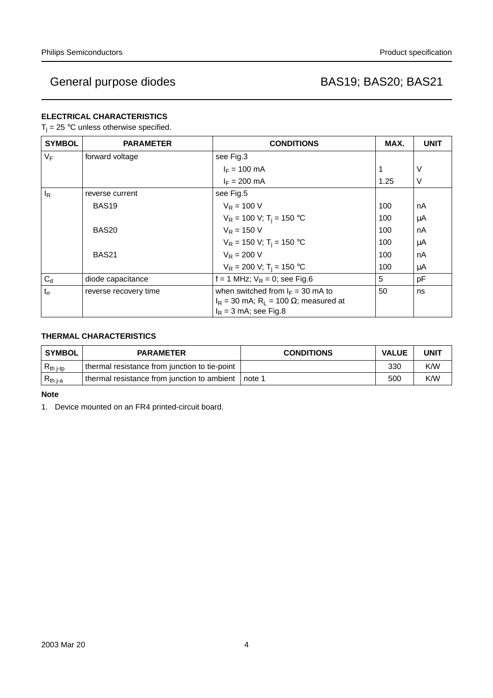### **ELECTRICAL CHARACTERISTICS**

 $T_j = 25$  °C unless otherwise specified.

| <b>SYMBOL</b> | <b>PARAMETER</b>      | <b>CONDITIONS</b>                                                            | MAX. | <b>UNIT</b> |
|---------------|-----------------------|------------------------------------------------------------------------------|------|-------------|
| $V_F$         | forward voltage       | see Fig.3                                                                    |      |             |
|               |                       | $I_F = 100 \text{ mA}$                                                       |      | V           |
|               |                       | $I_F = 200$ mA                                                               | 1.25 | $\vee$      |
| ΙR            | reverse current       | see Fig.5                                                                    |      |             |
|               | BAS <sub>19</sub>     | $V_R = 100 V$                                                                | 100  | nA          |
|               |                       | $V_R = 100$ V; T <sub>i</sub> = 150 °C                                       | 100  | μA          |
|               | BAS <sub>20</sub>     | $V_R = 150 V$                                                                | 100  | nA          |
|               |                       | $V_R$ = 150 V; T <sub>i</sub> = 150 °C                                       | 100  | μA          |
|               | BAS <sub>21</sub>     | $V_R = 200 V$                                                                | 100  | nA          |
|               |                       | $V_R = 200$ V; T <sub>i</sub> = 150 °C                                       | 100  | μA          |
| $C_d$         | diode capacitance     | f = 1 MHz; $V_R$ = 0; see Fig.6                                              | 5    | pF          |
| $t_{rr}$      | reverse recovery time | when switched from $I_F = 30$ mA to                                          | 50   | ns          |
|               |                       | $I_R$ = 30 mA; $R_L$ = 100 $\Omega$ ; measured at<br>$I_R$ = 3 mA; see Fig.8 |      |             |

### **THERMAL CHARACTERISTICS**

| <b>SYMBOL</b>                | <b>PARAMETER</b>                              | <b>CONDITIONS</b> | <b>VALUE</b> | UNIT |
|------------------------------|-----------------------------------------------|-------------------|--------------|------|
| $\vert$ R <sub>th j-tp</sub> | thermal resistance from junction to tie-point |                   | 330          | K/W  |
| $R_{th,i-a}$                 | thermal resistance from junction to ambient   | note 1            | 500          | K/W  |

### **Note**

1. Device mounted on an FR4 printed-circuit board.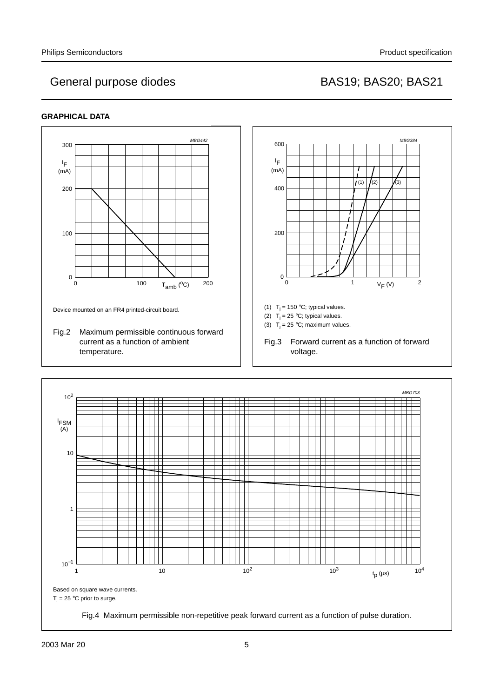### **GRAPHICAL DATA**





 $\overline{\phantom{0}}$ 

Fig.4 Maximum permissible non-repetitive peak forward current as a function of pulse duration.

┯

T

10−<sup>1</sup>

10

1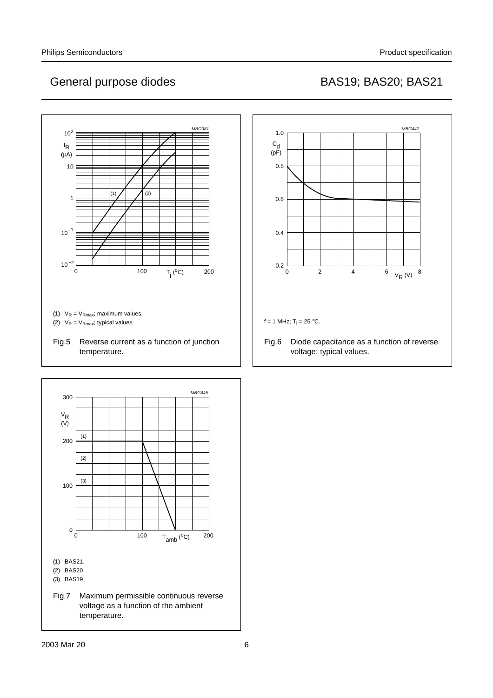

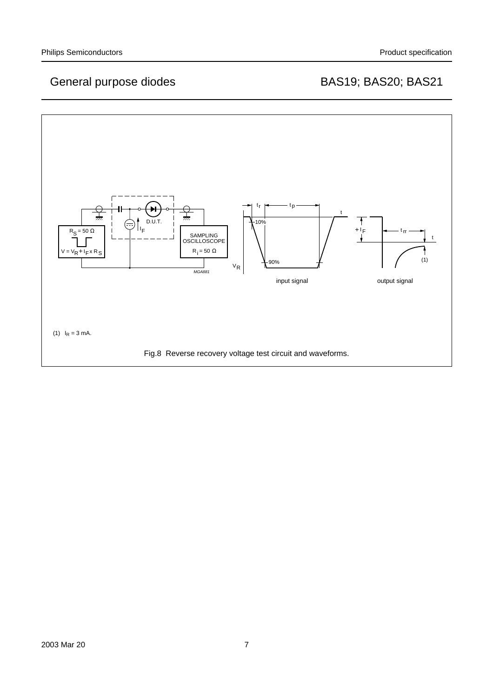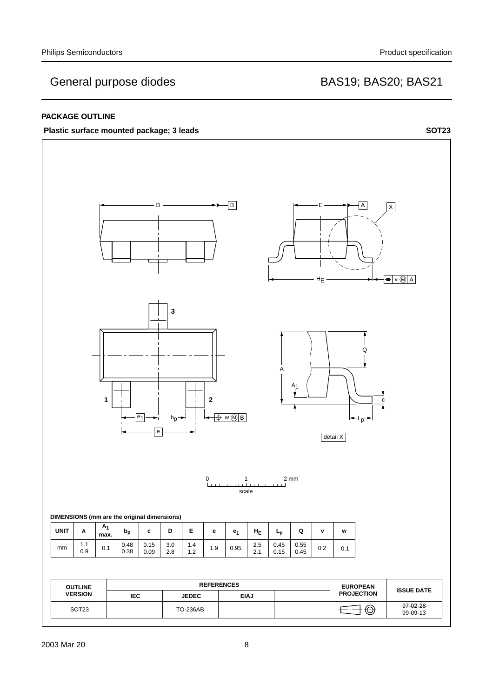### **PACKAGE OUTLINE**



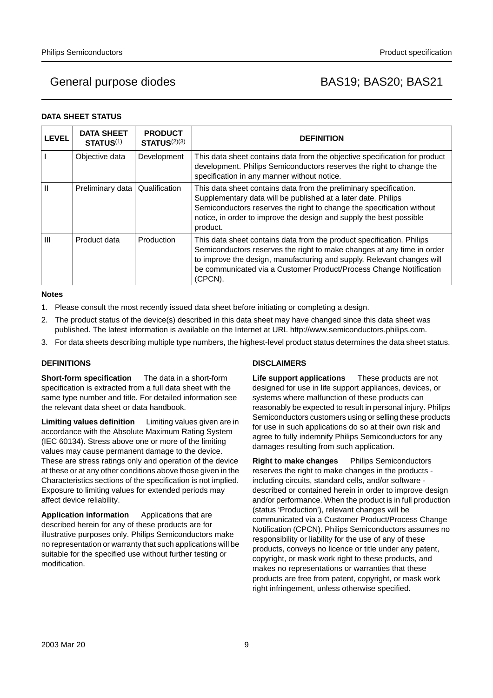### **DATA SHEET STATUS**

| <b>LEVEL</b> | <b>DATA SHEET</b><br><b>STATUS(1)</b> | <b>PRODUCT</b><br>STATUS <sup>(2)(3)</sup> | <b>DEFINITION</b>                                                                                                                                                                                                                                                                                          |
|--------------|---------------------------------------|--------------------------------------------|------------------------------------------------------------------------------------------------------------------------------------------------------------------------------------------------------------------------------------------------------------------------------------------------------------|
|              | Objective data                        | Development                                | This data sheet contains data from the objective specification for product<br>development. Philips Semiconductors reserves the right to change the<br>specification in any manner without notice.                                                                                                          |
| Ш            | Preliminary data                      | Qualification                              | This data sheet contains data from the preliminary specification.<br>Supplementary data will be published at a later date. Philips<br>Semiconductors reserves the right to change the specification without<br>notice, in order to improve the design and supply the best possible<br>product.             |
| Ш            | Product data                          | Production                                 | This data sheet contains data from the product specification. Philips<br>Semiconductors reserves the right to make changes at any time in order<br>to improve the design, manufacturing and supply. Relevant changes will<br>be communicated via a Customer Product/Process Change Notification<br>(CPCN). |

### **Notes**

- 1. Please consult the most recently issued data sheet before initiating or completing a design.
- 2. The product status of the device(s) described in this data sheet may have changed since this data sheet was published. The latest information is available on the Internet at URL http://www.semiconductors.philips.com.
- 3. For data sheets describing multiple type numbers, the highest-level product status determines the data sheet status.

### **DEFINITIONS**

**Short-form specification** — The data in a short-form specification is extracted from a full data sheet with the same type number and title. For detailed information see the relevant data sheet or data handbook.

**Limiting values definition** - Limiting values given are in accordance with the Absolute Maximum Rating System (IEC 60134). Stress above one or more of the limiting values may cause permanent damage to the device. These are stress ratings only and operation of the device at these or at any other conditions above those given in the Characteristics sections of the specification is not implied. Exposure to limiting values for extended periods may affect device reliability.

Application information Applications that are described herein for any of these products are for illustrative purposes only. Philips Semiconductors make no representation or warranty that such applications will be suitable for the specified use without further testing or modification.

### **DISCLAIMERS**

**Life support applications** — These products are not designed for use in life support appliances, devices, or systems where malfunction of these products can reasonably be expected to result in personal injury. Philips Semiconductors customers using or selling these products for use in such applications do so at their own risk and agree to fully indemnify Philips Semiconductors for any damages resulting from such application.

**Right to make changes** - Philips Semiconductors reserves the right to make changes in the products including circuits, standard cells, and/or software described or contained herein in order to improve design and/or performance. When the product is in full production (status 'Production'), relevant changes will be communicated via a Customer Product/Process Change Notification (CPCN). Philips Semiconductors assumes no responsibility or liability for the use of any of these products, conveys no licence or title under any patent, copyright, or mask work right to these products, and makes no representations or warranties that these products are free from patent, copyright, or mask work right infringement, unless otherwise specified.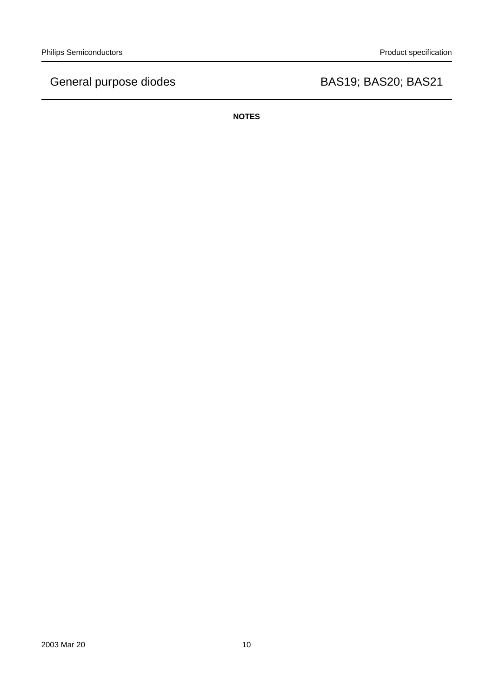**NOTES**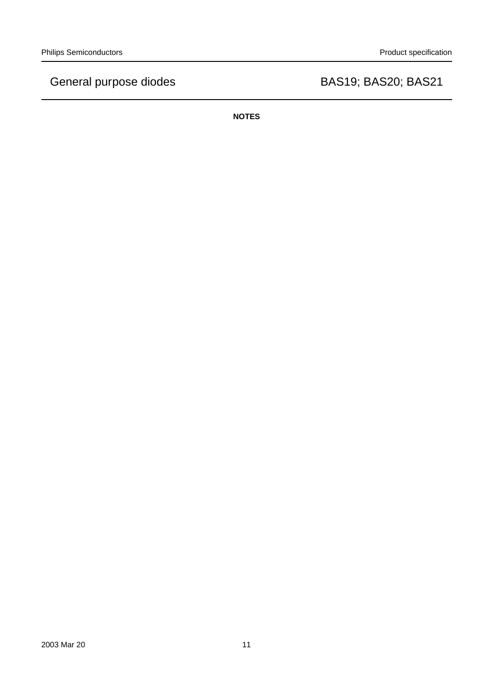**NOTES**